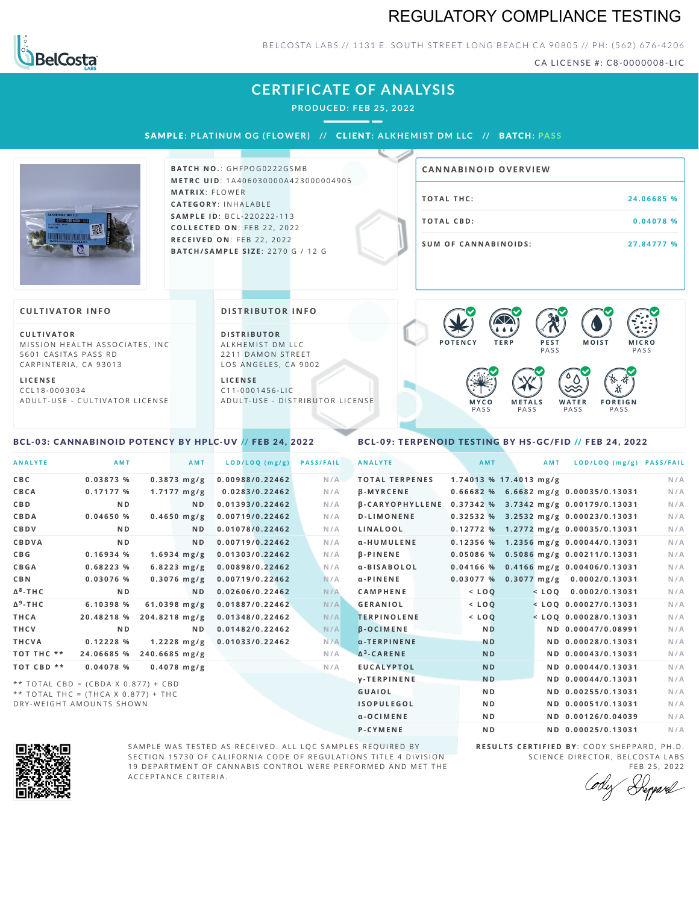### REGULATORY COMPLIANCE TESTING



### BELCOSTA LABS // 1131 E. SOUTH STREET LONG BEACH C A 90805 // PH: (562) 676-4206

CA LICENSE #: C8-0000008-LIC

| <b>CERTIFICATE OF ANALYSIS</b><br>PRODUCED: FEB 25, 2022                       |                                           |
|--------------------------------------------------------------------------------|-------------------------------------------|
| <b>SAMPLE: PLATINUM OG (FLOWER) // CLIENT: ALKHEMIST DM LLC // BATCH: PASS</b> |                                           |
| <b>BATCH NO.: GHFPOG0222GSMB</b><br><b>METRC UID: 1A406030000A423000004905</b> | <b>CANNABINOID OVERVIEW</b>               |
| <b>MATRIX: FLOWER</b><br>CATEGORY: INHALABLE                                   | <b>TOTAL THC:</b><br>24.06685 %           |
| <b>SAMPLE ID: BCL-220222-113</b><br>COLLECTED ON: FEB 22, 2022                 | <b>TOTAL CBD:</b><br>0.04078 %            |
| RECEIVED ON: FEB 22, 2022                                                      | <b>SUM OF CANNABINOIDS:</b><br>27.84777 % |

#### **CULTIVATOR I N FO**

**C U L T I VAT O R** MISSION HEALTH ASSOCIATES, INC 5601 CASITAS PASS RD CARPINTERIA, CA 93013

**L I C E N S E** C C L 1 8 - 0 0 0 3 0 3 4 A D U L T - U S E - C U L T I V A T O R L I C E N S E **DI STRIBUTOR I N FO**

**BAT C H / SA M P L E S I Z E** : 2 2 7 0 G / 1 2 G

**D I S T R IB U T O R** ALKHEMIST DM LLC 2211 DAMON STREET LOS ANGELES, CA 9002

**L I C E N S E** C 1 1 - 0 0 0 1 4 5 6 - L I C A D U L T - U S E - D I STRI BUT OR LICENSE



#### <span id="page-0-0"></span>BCL-03: CANNABINOID POTENCY BY HPLC-UV // FEB 24, 2022

### <span id="page-0-1"></span>BCL-09: TERPENOID TESTING BY HS-GC/FID // FEB 24, 2022

| <b>ANALYTE</b>  | <b>AMT</b>                          | AMT                   | LOD/LOQ (mg/g)  | <b>PASS/FAIL</b> | <b>ANALYTE</b>         | AMT            | <b>AMT</b>             | LOD/LOQ (mg/g) PASS/FAIL                |     |
|-----------------|-------------------------------------|-----------------------|-----------------|------------------|------------------------|----------------|------------------------|-----------------------------------------|-----|
| <b>CBC</b>      | 0.03873 %                           | $0.3873$ mg/g         | 0.00988/0.22462 | N/A              | <b>TOTAL TERPENES</b>  |                | 1.74013 % 17.4013 mg/g |                                         | N/A |
| CBCA            | 0.17177%                            | $1.7177 \text{ mg/g}$ | 0.0283/0.22462  | N/A              | $\beta$ -MYRCENE       |                |                        | $0.66682$ % 6.6682 mg/g 0.00035/0.13031 | N/A |
| <b>CBD</b>      | N <sub>D</sub>                      | ND.                   | 0.01393/0.22462 | N/A              | <b>B-CARYOPHYLLENE</b> |                |                        | 0.37342 % 3.7342 mg/g 0.00179/0.13031   | N/A |
| CBDA            | 0.04650%                            | $0.4650$ mg/g         | 0.00719/0.22462 | N/A              | <b>D-LIMONENE</b>      |                |                        | 0.32532 % 3.2532 mg/g 0.00023/0.13031   | N/A |
| CBDV            | N <sub>D</sub>                      | ND.                   | 0.01078/0.22462 | N/A              | LINALOOL               |                |                        | 0.12772 % 1.2772 mg/g 0.00035/0.13031   | N/A |
| <b>CBDVA</b>    | N <sub>D</sub>                      | ND.                   | 0.00719/0.22462 | N/A              | α-HUMULENE             |                |                        | 0.12356 % 1.2356 mg/g 0.00044/0.13031   | N/A |
| <b>CBG</b>      | 0.16934%                            | $1.6934$ mg/g         | 0.01303/0.22462 | N/A              | $\beta$ -PINENE        | 0.05086%       |                        | 0.5086 mg/g 0.00211/0.13031             | N/A |
| <b>CBGA</b>     | 0.68223%                            | $6.8223$ mg/g         | 0.00898/0.22462 | N/A              | α-BISABOLOL            |                |                        | $0.04166$ % 0.4166 mg/g 0.00406/0.13031 | N/A |
| <b>CBN</b>      | 0.03076 %                           | $0.3076$ mg/g         | 0.00719/0.22462 | N/A              | α-PINENE               | 0.03077%       |                        | $0.3077$ mg/g $0.0002/0.13031$          | N/A |
| $\Delta^8$ -THC | N <sub>D</sub>                      | N <sub>D</sub>        | 0.02606/0.22462 | N/A              | <b>CAMPHENE</b>        | $<$ LOQ        |                        | $<$ LOQ 0.0002/0.13031                  | N/A |
| $\Delta^9$ -THC | 6.10398 %                           | $61.0398$ mg/g        | 0.01887/0.22462 | N/A              | <b>GERANIOL</b>        | $<$ LOQ        |                        | $<$ LOQ 0.00027/0.13031                 | N/A |
| THCA            | 20.48218 %                          | 204.8218 mg/g         | 0.01348/0.22462 | N/A              | <b>TERPINOLENE</b>     | $<$ LOQ        |                        | $<$ LOQ 0.00028/0.13031                 | N/A |
| <b>THCV</b>     | N <sub>D</sub>                      | ND.                   | 0.01482/0.22462 | N/A              | <b>B-OCIMENE</b>       | <b>ND</b>      |                        | ND 0.00047/0.08991                      | N/A |
| THCVA           | 0.12228%                            | $1.2228$ mg/g         | 0.01033/0.22462 | N/A              | a-TERPINENE            | <b>ND</b>      |                        | ND 0.00028/0.13031                      | N/A |
| TOT THC **      | 24.06685 %                          | $240.6685$ mg/g       |                 | N/A              | $\Delta^3$ -CARENE     | <b>ND</b>      |                        | ND 0.00043/0.13031                      | N/A |
| TOT CBD **      | 0.04078%                            | $0.4078$ mg/g         |                 | N/A              | <b>EUCALYPTOL</b>      | <b>ND</b>      |                        | ND 0.00044/0.13031                      | N/A |
|                 | ** TOTAL CBD = (CBDA X 0.877) + CBD |                       |                 |                  | <b>V-TERPINENE</b>     | <b>ND</b>      |                        | ND 0.00044/0.13031                      | N/A |
|                 | ** TOTAL THC = (THCA X 0.877) + THC |                       |                 |                  | GUAIOL                 | N <sub>D</sub> |                        | ND 0.00255/0.13031                      | N/A |
|                 | DRY-WEIGHT AMOUNTS SHOWN            |                       |                 |                  | <b>ISOPULEGOL</b>      | N <sub>D</sub> |                        | ND 0.00051/0.13031                      | N/A |



SAMPLE WAS TESTED AS RECEIVED. ALL LQC SAMPLES REQUIRED BY SECTION 15730 OF CALIFORNIA CODE OF REGULATIONS TITLE 4 DIVISION 19 DEPARTMENT OF CANNABIS CONTROL WERE PERFORMED AND MET THE A C C E P T A N C E C R I T E R I A .

**R E S U L T S C E R T I F I E D BY** : C O D Y S H E P P A R D ,P H .D . SCIENCE DIRECTOR, BELCOSTA LABS

α-OCIMENE ND ND ND 0.00126/0.04039 N/A **P-CYMENE ND ND ND 0.00025/0.13031** N/A

FEB 25, 2022<br>Heppard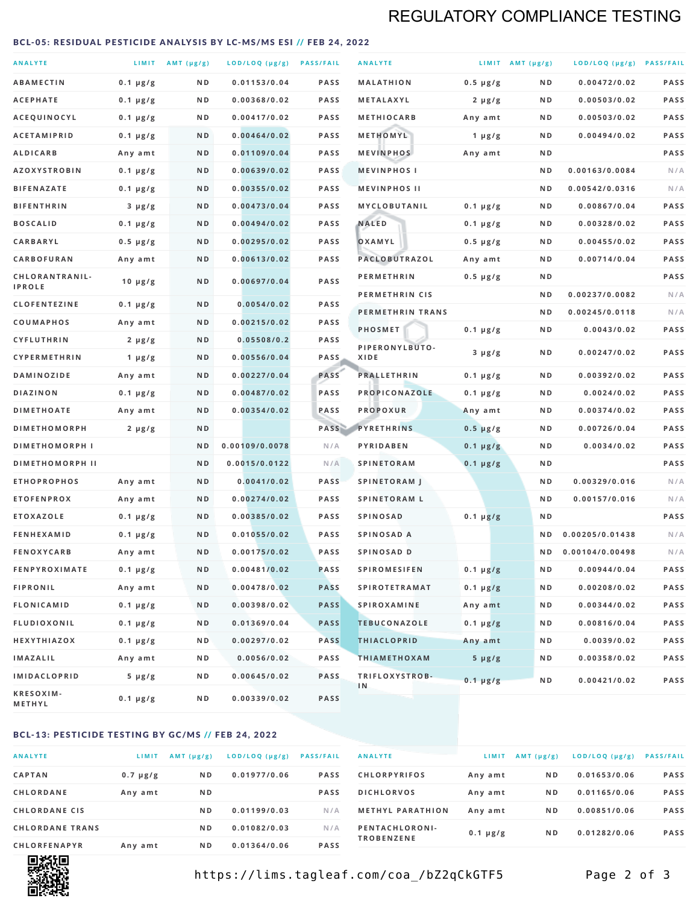### REGULATORY COMPLIANCE TESTING

#### <span id="page-1-0"></span>BCL-05: RESIDUAL PESTICIDE ANALYSIS BY LC-MS/MS ESI // FEB 24, 2022

| <b>ANALYTE</b>                          |                    | LIMIT AMT (µg/g) | LOD/LOQ (µg/g) PASS/FAIL    |                     | <b>ANALYTE</b>                             |                          | LIMIT AMT $(\mu g/g)$ | LOD/LOQ (µg/g) PASS/FAIL       |            |
|-----------------------------------------|--------------------|------------------|-----------------------------|---------------------|--------------------------------------------|--------------------------|-----------------------|--------------------------------|------------|
| <b>ABAMECTIN</b>                        | $0.1 \mu g/g$      | N D              | 0.01153/0.04                | <b>PASS</b>         | <b>MALATHION</b>                           | $0.5 \mu g/g$            | N D                   | 0.00472/0.02                   | PASS       |
| <b>ACEPHATE</b>                         | $0.1 \mu g/g$      | ND               | 0.00368/0.02                | <b>PASS</b>         | METALAXYL                                  | $2 \mu g/g$              | N D                   | 0.00503/0.02                   | PASS       |
| ACEQUINOCYL                             | $0.1 \mu g/g$      | N D              | 0.00417/0.02                | <b>PASS</b>         | <b>METHIOCARB</b>                          | Any amt                  | N D                   | 0.00503/0.02                   | PASS       |
| <b>ACETAMIPRID</b>                      | $0.1 \mu g/g$      | N D              | 0.00464/0.02                | <b>PASS</b>         | METHOMYL                                   | 1 $\mu$ g/g              | N D                   | 0.00494/0.02                   | PASS       |
| <b>ALDICARB</b>                         | Any amt            | N D              | 0.01109/0.04                | <b>PASS</b>         | <b>MEVINPHOS</b>                           | Any amt                  | N D                   |                                | PASS       |
| <b>AZOXYSTROBIN</b>                     | $0.1 \mu g/g$      | N D              | 0.00639/0.02                | <b>PASS</b>         | <b>MEVINPHOSI</b>                          |                          | N D                   | 0.00163/0.0084                 | N/A        |
| <b>BIFENAZATE</b>                       | $0.1 \mu g/g$      | N D              | 0.00355/0.02                | <b>PASS</b>         | <b>MEVINPHOS II</b>                        |                          | ND.                   | 0.00542/0.0316                 | N/A        |
| <b>BIFENTHRIN</b>                       | $3 \mu g/g$        | N D              | 0.00473/0.04                | <b>PASS</b>         | <b>MYCLOBUTANIL</b>                        | $0.1 \mu g/g$            | N D                   | 0.00867/0.04                   | PASS       |
| <b>BOSCALID</b>                         | $0.1 \mu g/g$      | N D              | 0.00494/0.02                | <b>PASS</b>         | <b>NALED</b>                               | $0.1 \mu g/g$            | N D                   | 0.00328/0.02                   | PASS       |
| CARBARYL                                | $0.5 \mu g/g$      | N D              | 0.00295/0.02                | <b>PASS</b>         | OXAMYL                                     | $0.5 \mu g/g$            | N D                   | 0.00455/0.02                   | PASS       |
| CARBOFURAN                              | Any amt            | N D              | 0.00613/0.02                | <b>PASS</b>         | PACLOBUTRAZOL                              | Any amt                  | N D                   | 0.00714/0.04                   | PASS       |
| CHLORANTRANIL-<br><b>IPROLE</b>         | $10 \mu g/g$       | N D              | 0.00697/0.04                | PASS                | <b>PERMETHRIN</b>                          | $0.5 \mu g/g$            | N D                   |                                | PASS       |
| <b>CLOFENTEZINE</b>                     |                    | N D              | 0.0054/0.02                 | <b>PASS</b>         | PERMETHRIN CIS                             |                          | N D                   | 0.00237/0.0082                 | N/A        |
|                                         | $0.1 \mu g/g$      | N D              | 0.00215/0.02                | <b>PASS</b>         | PERMETHRIN TRANS                           |                          | N D                   | 0.00245/0.0118                 | N/A        |
| <b>COUMAPHOS</b><br><b>CYFLUTHRIN</b>   | Any amt            | N D              | 0.05508/0.2                 | <b>PASS</b>         | <b>PHOSMET</b>                             | $0.1 \mu g/g$            | N D                   | 0.0043/0.02                    | PASS       |
| CYPERMETHRIN                            | $2 \mu g/g$        | N D              | 0.00556/0.04                | <b>PASS</b>         | PIPERONYLBUTO-<br>XIDE                     | $3 \mu g/g$              | N D                   | 0.00247/0.02                   | PASS       |
| <b>DAMINOZIDE</b>                       | 1 $\mu$ g/g        | N D              | 0.00227/0.04                | PASS                | <b>PRALLETHRIN</b>                         | $0.1 \mu g/g$            | N D                   | 0.00392/0.02                   | PASS       |
| <b>DIAZINON</b>                         | Any amt            | N D              | 0.00487/0.02                | <b>PASS</b>         | PROPICONAZOLE                              |                          | N D                   | 0.0024/0.02                    | PASS       |
| <b>DIMETHOATE</b>                       | $0.1 \mu g/g$      | N D              | 0.00354/0.02                | PASS                | <b>PROPOXUR</b>                            | $0.1 \mu g/g$            | N D                   | 0.00374/0.02                   | PASS       |
| <b>DIMETHOMORPH</b>                     | Any amt            | ND               |                             | PASS                | <b>PYRETHRINS</b>                          | Any amt<br>$0.5 \mu g/g$ | N D                   | 0.00726/0.04                   | PASS       |
| <b>DIMETHOMORPH I</b>                   | $2 \mu g/g$        | ND               | 0.00109/0.0078              | N/A                 | PYRIDABEN                                  |                          | N D                   | 0.0034/0.02                    | PASS       |
|                                         |                    |                  |                             |                     |                                            | $0.1 \mu g/g$            |                       |                                | PASS       |
| <b>DIMETHOMORPH II</b>                  |                    | ND               | 0.0015/0.0122               | N/A                 | <b>SPINETORAM</b>                          | $0.1 \mu g/g$            | N D                   |                                |            |
| <b>ETHOPROPHOS</b><br><b>ETOFENPROX</b> | Any amt<br>Any amt | N D<br>N D       | 0.0041/0.02<br>0.00274/0.02 | <b>PASS</b><br>PASS | <b>SPINETORAM J</b><br><b>SPINETORAM L</b> |                          | N D<br>N D            | 0.00329/0.016<br>0.00157/0.016 | N/A<br>N/A |
| <b>ETOXAZOLE</b>                        | $0.1 \mu g/g$      | ND               | 0.00385/0.02                | <b>PASS</b>         | <b>SPINOSAD</b>                            | $0.1 \mu g/g$            | N D                   |                                | PASS       |
| <b>FENHEXAMID</b>                       | $0.1 \mu g/g$      | N D              | 0.01055/0.02                | <b>PASS</b>         | SPINOSAD A                                 |                          | N D                   | 0.00205/0.01438                | N/A        |
| <b>FENOXYCARB</b>                       | Any amt            | N D              | 0.00175/0.02                | <b>PASS</b>         | <b>SPINOSAD D</b>                          |                          | N <sub>D</sub>        | 0.00104/0.00498                | N/A        |
| <b>FENPYROXIMATE</b>                    | $0.1 \mu g/g$      | N D              | 0.00481/0.02                | <b>PASS</b>         | <b>SPIROMESIFEN</b>                        | $0.1 \mu g/g$            | N D                   | 0.00944/0.04                   | PASS       |
| <b>FIPRONIL</b>                         | Any amt            | N D              | 0.00478/0.02                | <b>PASS</b>         | <b>SPIROTETRAMAT</b>                       | $0.1 \mu g/g$            | N D                   | 0.00208/0.02                   | PASS       |
| <b>FLONICAMID</b>                       | $0.1 \mu g/g$      | N D              | 0.00398/0.02                | <b>PASS</b>         | <b>SPIROXAMINE</b>                         | Any amt                  | N D                   | 0.00344/0.02                   | PASS       |
| FLUDIOXONIL                             | $0.1 \mu g/g$      | N D              | 0.01369/0.04                | <b>PASS</b>         | <b>TEBUCONAZOLE</b>                        | $0.1 \mu g/g$            | N D                   | 0.00816/0.04                   | PASS       |
| HEXYTHIAZOX                             | 0.1 µg/g           | N D              | 0.00297/0.02                | <b>PASS</b>         | <b>THIACLOPRID</b>                         | Any amt                  | N D                   | 0.0039/0.02                    | PASS       |
| <b>IMAZALIL</b>                         | Any amt            | N D              | 0.0056/0.02                 | PASS                | <b>THIAMETHOXAM</b>                        | $5 \mu g/g$              | N D                   | 0.00358/0.02                   | PASS       |
| <b>IMIDACLOPRID</b>                     | $5 \mu g/g$        | ND               | 0.00645/0.02                | <b>PASS</b>         | TRIFLOXYSTROB-                             |                          |                       |                                |            |
| KRESOXIM-<br>METHYL                     | $0.1 \mu g/g$      | N D              | 0.00339/0.02                | <b>PASS</b>         | 1N                                         | $0.1 \mu g/g$            | N D                   | 0.00421/0.02                   | PASS       |

### BCL-13: PESTICIDE TESTING BY GC/MS // FEB 24, 2022

| <b>ANALYTE</b>         | LIMIT         | $AMT$ ( $\mu g/g$ ) | LOD/LOQ (µg/g) | <b>PASS/FAIL</b> |
|------------------------|---------------|---------------------|----------------|------------------|
| <b>CAPTAN</b>          | $0.7 \mu g/g$ | N <sub>D</sub>      | 0.01977/0.06   | <b>PASS</b>      |
| <b>CHLORDANE</b>       | Any amt       | N <sub>D</sub>      |                | <b>PASS</b>      |
| <b>CHLORDANE CIS</b>   |               | N <sub>D</sub>      | 0.01199/0.03   | N/A              |
| <b>CHLORDANE TRANS</b> |               | N <sub>D</sub>      | 0.01082/0.03   | N/A              |
| <b>CHLORFENAPYR</b>    | Any amt       | N <sub>D</sub>      | 0.01364/0.06   | <b>PASS</b>      |

| <b>ANALYTE</b>                      | LIMIT         | $AMT (\mu g/g)$ | LOD/LOQ (µg/g) | <b>PASS/FAIL</b> |
|-------------------------------------|---------------|-----------------|----------------|------------------|
| <b>CHLORPYRIFOS</b>                 | Any amt       | N <sub>D</sub>  | 0.01653/0.06   | <b>PASS</b>      |
| <b>DICHLORVOS</b>                   | Any amt       | N <sub>D</sub>  | 0.01165/0.06   | <b>PASS</b>      |
| <b>METHYL PARATHION</b>             | Any amt       | N <sub>D</sub>  | 0.00851/0.06   | <b>PASS</b>      |
| PENTACHLORONI-<br><b>TROBENZENE</b> | $0.1 \mu g/g$ | N <sub>D</sub>  | 0.01282/0.06   | <b>PASS</b>      |